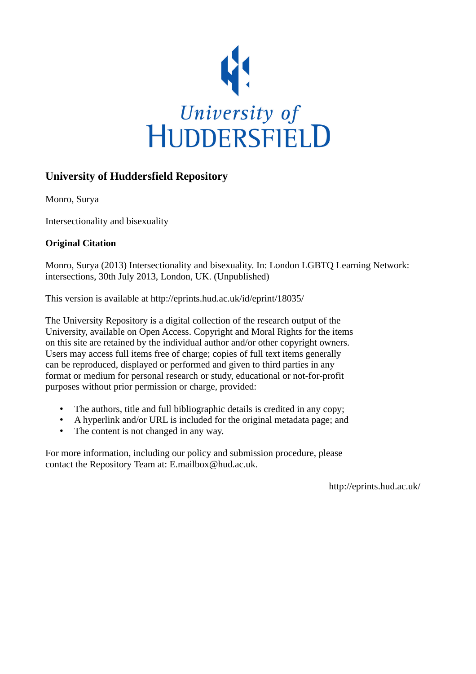

# **University of Huddersfield Repository**

Monro, Surya

Intersectionality and bisexuality

# **Original Citation**

Monro, Surya (2013) Intersectionality and bisexuality. In: London LGBTQ Learning Network: intersections, 30th July 2013, London, UK. (Unpublished)

This version is available at http://eprints.hud.ac.uk/id/eprint/18035/

The University Repository is a digital collection of the research output of the University, available on Open Access. Copyright and Moral Rights for the items on this site are retained by the individual author and/or other copyright owners. Users may access full items free of charge; copies of full text items generally can be reproduced, displayed or performed and given to third parties in any format or medium for personal research or study, educational or not-for-profit purposes without prior permission or charge, provided:

- The authors, title and full bibliographic details is credited in any copy;
- A hyperlink and/or URL is included for the original metadata page; and
- The content is not changed in any way.

For more information, including our policy and submission procedure, please contact the Repository Team at: E.mailbox@hud.ac.uk.

http://eprints.hud.ac.uk/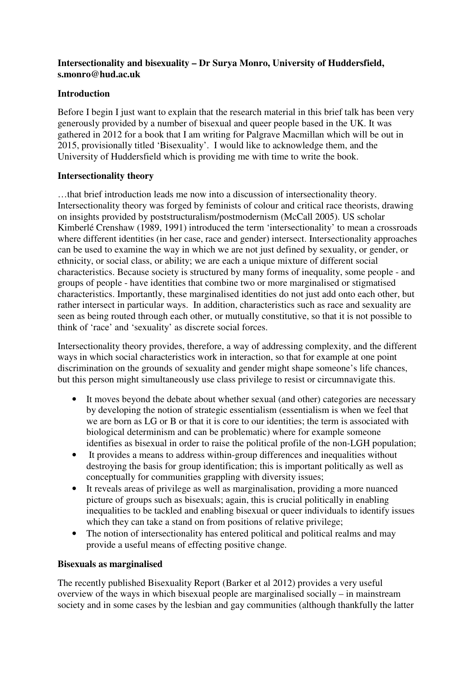# **Intersectionality and bisexuality – Dr Surya Monro, University of Huddersfield, s.monro@hud.ac.uk**

## **Introduction**

Before I begin I just want to explain that the research material in this brief talk has been very generously provided by a number of bisexual and queer people based in the UK. It was gathered in 2012 for a book that I am writing for Palgrave Macmillan which will be out in 2015, provisionally titled 'Bisexuality'. I would like to acknowledge them, and the University of Huddersfield which is providing me with time to write the book.

# **Intersectionality theory**

…that brief introduction leads me now into a discussion of intersectionality theory. Intersectionality theory was forged by feminists of colour and critical race theorists, drawing on insights provided by poststructuralism/postmodernism (McCall 2005). US scholar Kimberlé Crenshaw (1989, 1991) introduced the term 'intersectionality' to mean a crossroads where different identities (in her case, race and gender) intersect. Intersectionality approaches can be used to examine the way in which we are not just defined by sexuality, or gender, or ethnicity, or social class, or ability; we are each a unique mixture of different social characteristics. Because society is structured by many forms of inequality, some people - and groups of people - have identities that combine two or more marginalised or stigmatised characteristics. Importantly, these marginalised identities do not just add onto each other, but rather intersect in particular ways. In addition, characteristics such as race and sexuality are seen as being routed through each other, or mutually constitutive, so that it is not possible to think of 'race' and 'sexuality' as discrete social forces.

Intersectionality theory provides, therefore, a way of addressing complexity, and the different ways in which social characteristics work in interaction, so that for example at one point discrimination on the grounds of sexuality and gender might shape someone's life chances, but this person might simultaneously use class privilege to resist or circumnavigate this.

- It moves beyond the debate about whether sexual (and other) categories are necessary by developing the notion of strategic essentialism (essentialism is when we feel that we are born as LG or B or that it is core to our identities; the term is associated with biological determinism and can be problematic) where for example someone identifies as bisexual in order to raise the political profile of the non-LGH population;
- It provides a means to address within-group differences and inequalities without destroying the basis for group identification; this is important politically as well as conceptually for communities grappling with diversity issues;
- It reveals areas of privilege as well as marginalisation, providing a more nuanced picture of groups such as bisexuals; again, this is crucial politically in enabling inequalities to be tackled and enabling bisexual or queer individuals to identify issues which they can take a stand on from positions of relative privilege;
- The notion of intersectionality has entered political and political realms and may provide a useful means of effecting positive change.

### **Bisexuals as marginalised**

The recently published Bisexuality Report (Barker et al 2012) provides a very useful overview of the ways in which bisexual people are marginalised socially – in mainstream society and in some cases by the lesbian and gay communities (although thankfully the latter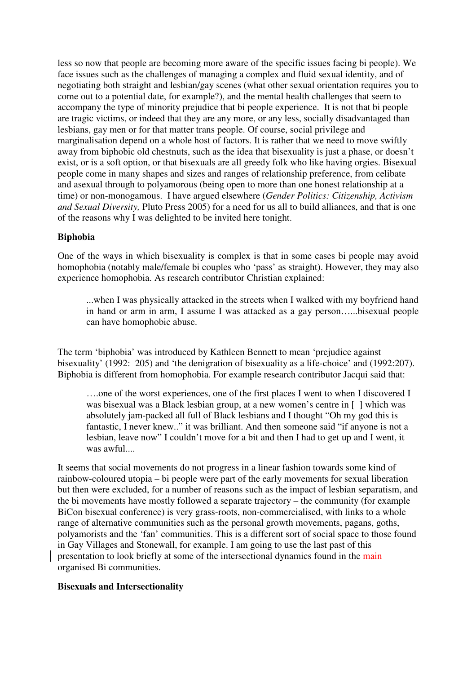less so now that people are becoming more aware of the specific issues facing bi people). We face issues such as the challenges of managing a complex and fluid sexual identity, and of negotiating both straight and lesbian/gay scenes (what other sexual orientation requires you to come out to a potential date, for example?), and the mental health challenges that seem to accompany the type of minority prejudice that bi people experience. It is not that bi people are tragic victims, or indeed that they are any more, or any less, socially disadvantaged than lesbians, gay men or for that matter trans people. Of course, social privilege and marginalisation depend on a whole host of factors. It is rather that we need to move swiftly away from biphobic old chestnuts, such as the idea that bisexuality is just a phase, or doesn't exist, or is a soft option, or that bisexuals are all greedy folk who like having orgies. Bisexual people come in many shapes and sizes and ranges of relationship preference, from celibate and asexual through to polyamorous (being open to more than one honest relationship at a time) or non-monogamous. I have argued elsewhere (*Gender Politics: Citizenship, Activism and Sexual Diversity,* Pluto Press 2005) for a need for us all to build alliances, and that is one of the reasons why I was delighted to be invited here tonight.

### **Biphobia**

One of the ways in which bisexuality is complex is that in some cases bi people may avoid homophobia (notably male/female bi couples who 'pass' as straight). However, they may also experience homophobia. As research contributor Christian explained:

...when I was physically attacked in the streets when I walked with my boyfriend hand in hand or arm in arm, I assume I was attacked as a gay person…...bisexual people can have homophobic abuse.

The term 'biphobia' was introduced by Kathleen Bennett to mean 'prejudice against bisexuality' (1992: 205) and 'the denigration of bisexuality as a life-choice' and (1992:207). Biphobia is different from homophobia. For example research contributor Jacqui said that:

….one of the worst experiences, one of the first places I went to when I discovered I was bisexual was a Black lesbian group, at a new women's centre in [ ] which was absolutely jam-packed all full of Black lesbians and I thought "Oh my god this is fantastic, I never knew.." it was brilliant. And then someone said "if anyone is not a lesbian, leave now" I couldn't move for a bit and then I had to get up and I went, it was awful....

It seems that social movements do not progress in a linear fashion towards some kind of rainbow-coloured utopia – bi people were part of the early movements for sexual liberation but then were excluded, for a number of reasons such as the impact of lesbian separatism, and the bi movements have mostly followed a separate trajectory – the community (for example BiCon bisexual conference) is very grass-roots, non-commercialised, with links to a whole range of alternative communities such as the personal growth movements, pagans, goths, polyamorists and the 'fan' communities. This is a different sort of social space to those found in Gay Villages and Stonewall, for example. I am going to use the last past of this presentation to look briefly at some of the intersectional dynamics found in the main organised Bi communities.

#### **Bisexuals and Intersectionality**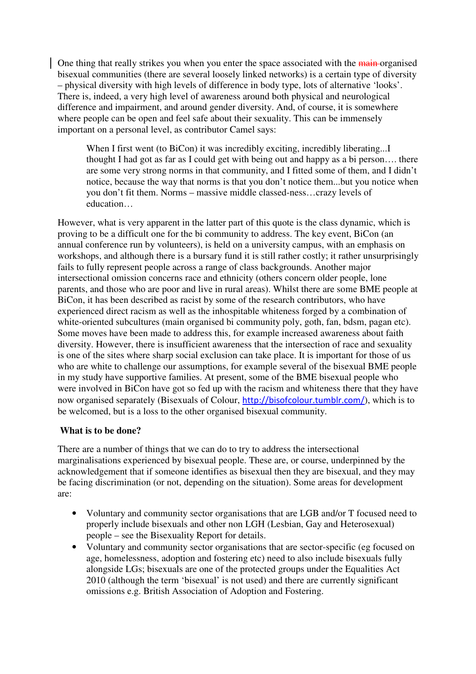One thing that really strikes you when you enter the space associated with the main organised bisexual communities (there are several loosely linked networks) is a certain type of diversity – physical diversity with high levels of difference in body type, lots of alternative 'looks'. There is, indeed, a very high level of awareness around both physical and neurological difference and impairment, and around gender diversity. And, of course, it is somewhere where people can be open and feel safe about their sexuality. This can be immensely important on a personal level, as contributor Camel says:

When I first went (to BiCon) it was incredibly exciting, incredibly liberating...I thought I had got as far as I could get with being out and happy as a bi person…. there are some very strong norms in that community, and I fitted some of them, and I didn't notice, because the way that norms is that you don't notice them...but you notice when you don't fit them. Norms – massive middle classed-ness…crazy levels of education…

However, what is very apparent in the latter part of this quote is the class dynamic, which is proving to be a difficult one for the bi community to address. The key event, BiCon (an annual conference run by volunteers), is held on a university campus, with an emphasis on workshops, and although there is a bursary fund it is still rather costly; it rather unsurprisingly fails to fully represent people across a range of class backgrounds. Another major intersectional omission concerns race and ethnicity (others concern older people, lone parents, and those who are poor and live in rural areas). Whilst there are some BME people at BiCon, it has been described as racist by some of the research contributors, who have experienced direct racism as well as the inhospitable whiteness forged by a combination of white-oriented subcultures (main organised bi community poly, goth, fan, bdsm, pagan etc). Some moves have been made to address this, for example increased awareness about faith diversity. However, there is insufficient awareness that the intersection of race and sexuality is one of the sites where sharp social exclusion can take place. It is important for those of us who are white to challenge our assumptions, for example several of the bisexual BME people in my study have supportive families. At present, some of the BME bisexual people who were involved in BiCon have got so fed up with the racism and whiteness there that they have now organised separately (Bisexuals of Colour, http://bisofcolour.tumblr.com/), which is to be welcomed, but is a loss to the other organised bisexual community.

### **What is to be done?**

There are a number of things that we can do to try to address the intersectional marginalisations experienced by bisexual people. These are, or course, underpinned by the acknowledgement that if someone identifies as bisexual then they are bisexual, and they may be facing discrimination (or not, depending on the situation). Some areas for development are:

- Voluntary and community sector organisations that are LGB and/or T focused need to properly include bisexuals and other non LGH (Lesbian, Gay and Heterosexual) people – see the Bisexuality Report for details.
- Voluntary and community sector organisations that are sector-specific (eg focused on age, homelessness, adoption and fostering etc) need to also include bisexuals fully alongside LGs; bisexuals are one of the protected groups under the Equalities Act 2010 (although the term 'bisexual' is not used) and there are currently significant omissions e.g. British Association of Adoption and Fostering.